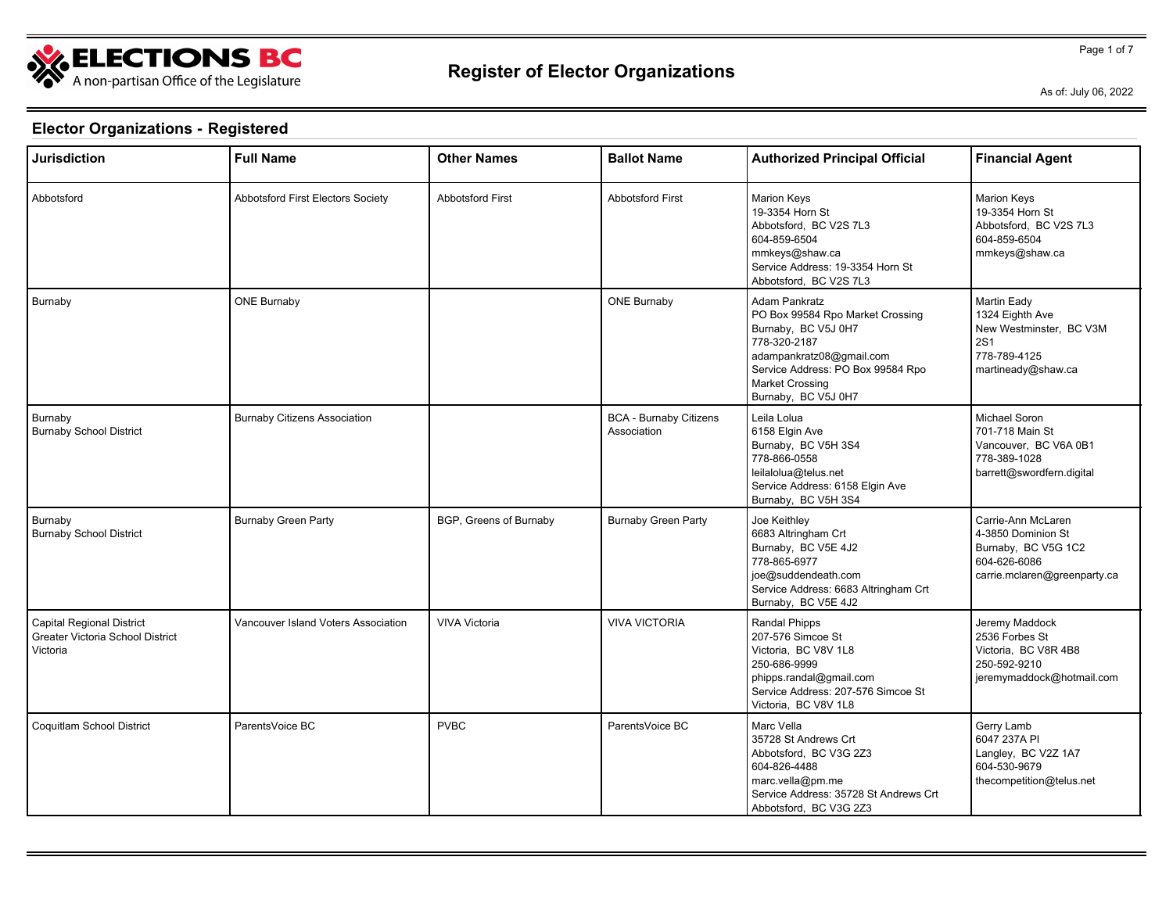

Page 1 of 7

As of: July 06, 2022

| <b>Jurisdiction</b>                                                              | <b>Full Name</b>                    | <b>Other Names</b>      | <b>Ballot Name</b>                           | <b>Authorized Principal Official</b>                                                                                                                                                                       | <b>Financial Agent</b>                                                                                          |
|----------------------------------------------------------------------------------|-------------------------------------|-------------------------|----------------------------------------------|------------------------------------------------------------------------------------------------------------------------------------------------------------------------------------------------------------|-----------------------------------------------------------------------------------------------------------------|
| Abbotsford                                                                       | Abbotsford First Electors Society   | <b>Abbotsford First</b> | <b>Abbotsford First</b>                      | <b>Marion Keys</b><br>19-3354 Horn St<br>Abbotsford, BC V2S 7L3<br>604-859-6504<br>mmkeys@shaw.ca<br>Service Address: 19-3354 Horn St<br>Abbotsford, BC V2S 7L3                                            | <b>Marion Keys</b><br>19-3354 Horn St<br>Abbotsford, BC V2S 7L3<br>604-859-6504<br>mmkeys@shaw.ca               |
| Burnaby                                                                          | <b>ONE Burnaby</b>                  |                         | <b>ONE Burnaby</b>                           | Adam Pankratz<br>PO Box 99584 Rpo Market Crossing<br>Burnaby, BC V5J 0H7<br>778-320-2187<br>adampankratz08@gmail.com<br>Service Address: PO Box 99584 Rpo<br><b>Market Crossing</b><br>Burnaby, BC V5J 0H7 | Martin Eady<br>1324 Eighth Ave<br>New Westminster, BC V3M<br><b>2S1</b><br>778-789-4125<br>martineady@shaw.ca   |
| Burnaby<br><b>Burnaby School District</b>                                        | <b>Burnaby Citizens Association</b> |                         | <b>BCA - Burnaby Citizens</b><br>Association | Leila Lolua<br>6158 Elgin Ave<br>Burnaby, BC V5H 3S4<br>778-866-0558<br>leilalolua@telus.net<br>Service Address: 6158 Elgin Ave<br>Burnaby, BC V5H 3S4                                                     | Michael Soron<br>701-718 Main St<br>Vancouver, BC V6A 0B1<br>778-389-1028<br>barrett@swordfern.digital          |
| Burnaby<br><b>Burnaby School District</b>                                        | <b>Burnaby Green Party</b>          | BGP, Greens of Burnaby  | <b>Burnaby Green Party</b>                   | Joe Keithley<br>6683 Altringham Crt<br>Burnaby, BC V5E 4J2<br>778-865-6977<br>joe@suddendeath.com<br>Service Address: 6683 Altringham Crt<br>Burnaby, BC V5E 4J2                                           | Carrie-Ann McLaren<br>4-3850 Dominion St<br>Burnaby, BC V5G 1C2<br>604-626-6086<br>carrie.mclaren@greenparty.ca |
| <b>Capital Regional District</b><br>Greater Victoria School District<br>Victoria | Vancouver Island Voters Association | <b>VIVA Victoria</b>    | <b>VIVA VICTORIA</b>                         | Randal Phipps<br>207-576 Simcoe St<br>Victoria, BC V8V 1L8<br>250-686-9999<br>phipps.randal@gmail.com<br>Service Address: 207-576 Simcoe St<br>Victoria, BC V8V 1L8                                        | Jeremy Maddock<br>2536 Forbes St<br>Victoria, BC V8R 4B8<br>250-592-9210<br>jeremymaddock@hotmail.com           |
| Coquitlam School District                                                        | ParentsVoice BC                     | <b>PVBC</b>             | ParentsVoice BC                              | Marc Vella<br>35728 St Andrews Crt<br>Abbotsford, BC V3G 2Z3<br>604-826-4488<br>marc.vella@pm.me<br>Service Address: 35728 St Andrews Crt<br>Abbotsford, BC V3G 2Z3                                        | Gerry Lamb<br>6047 237A PI<br>Langley, BC V2Z 1A7<br>604-530-9679<br>thecompetition@telus.net                   |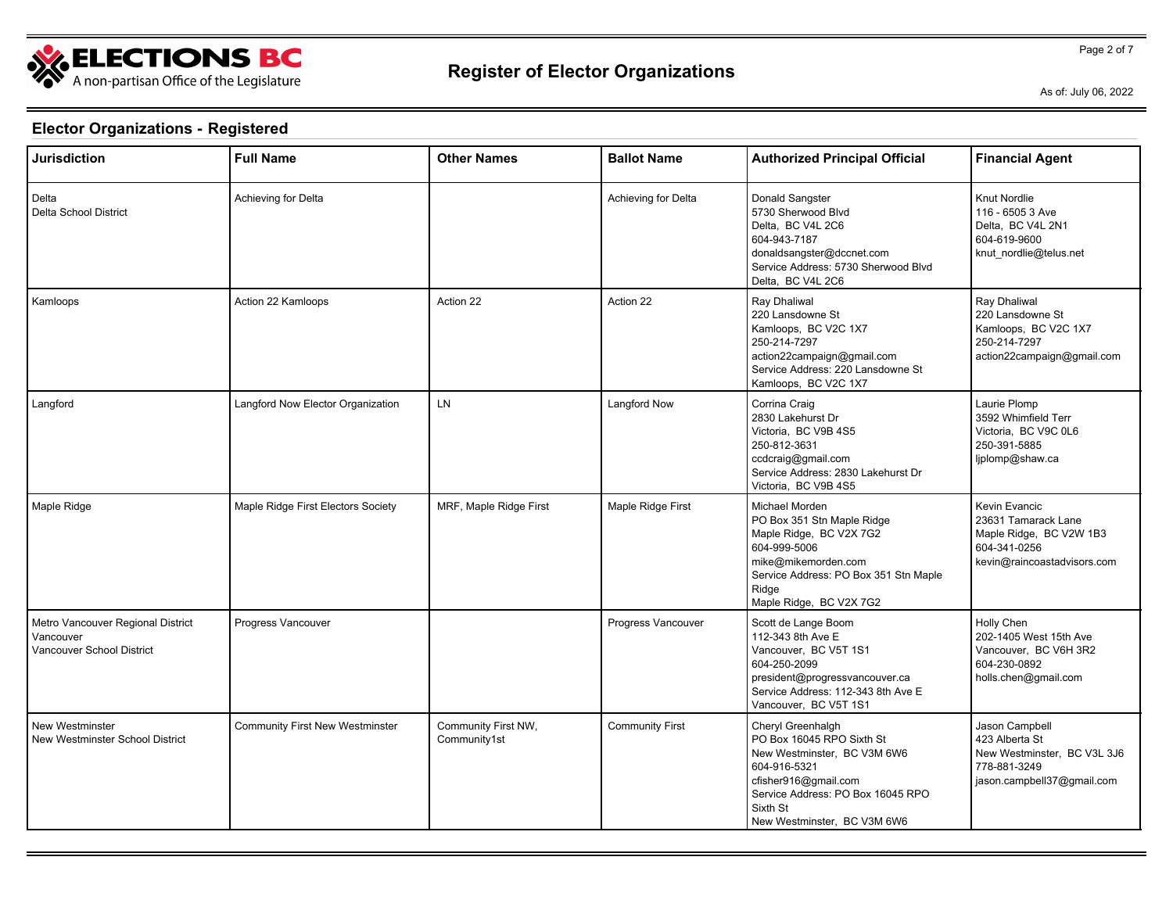

Page 2 of 7

As of: July 06, 2022

| <b>Jurisdiction</b>                                                         | <b>Full Name</b>                       | <b>Other Names</b>                  | <b>Ballot Name</b>     | <b>Authorized Principal Official</b>                                                                                                                                                                  | <b>Financial Agent</b>                                                                                         |
|-----------------------------------------------------------------------------|----------------------------------------|-------------------------------------|------------------------|-------------------------------------------------------------------------------------------------------------------------------------------------------------------------------------------------------|----------------------------------------------------------------------------------------------------------------|
| Delta<br>Delta School District                                              | Achieving for Delta                    |                                     | Achieving for Delta    | Donald Sangster<br>5730 Sherwood Blvd<br>Delta. BC V4L 2C6<br>604-943-7187<br>donaldsangster@dccnet.com<br>Service Address: 5730 Sherwood Blvd<br>Delta, BC V4L 2C6                                   | <b>Knut Nordlie</b><br>116 - 6505 3 Ave<br>Delta. BC V4L 2N1<br>604-619-9600<br>knut nordlie@telus.net         |
| Kamloops                                                                    | Action 22 Kamloops                     | Action 22                           | Action 22              | Ray Dhaliwal<br>220 Lansdowne St<br>Kamloops, BC V2C 1X7<br>250-214-7297<br>action22campaign@gmail.com<br>Service Address: 220 Lansdowne St<br>Kamloops, BC V2C 1X7                                   | Ray Dhaliwal<br>220 Lansdowne St<br>Kamloops, BC V2C 1X7<br>250-214-7297<br>action22campaign@gmail.com         |
| Langford                                                                    | Langford Now Elector Organization      | <b>LN</b>                           | Langford Now           | Corrina Craig<br>2830 Lakehurst Dr<br>Victoria, BC V9B 4S5<br>250-812-3631<br>ccdcraig@gmail.com<br>Service Address: 2830 Lakehurst Dr<br>Victoria, BC V9B 4S5                                        | Laurie Plomp<br>3592 Whimfield Terr<br>Victoria, BC V9C 0L6<br>250-391-5885<br>ljplomp@shaw.ca                 |
| Maple Ridge                                                                 | Maple Ridge First Electors Society     | MRF, Maple Ridge First              | Maple Ridge First      | Michael Morden<br>PO Box 351 Stn Maple Ridge<br>Maple Ridge, BC V2X 7G2<br>604-999-5006<br>mike@mikemorden.com<br>Service Address: PO Box 351 Stn Maple<br>Ridge<br>Maple Ridge, BC V2X 7G2           | Kevin Evancic<br>23631 Tamarack Lane<br>Maple Ridge, BC V2W 1B3<br>604-341-0256<br>kevin@raincoastadvisors.com |
| Metro Vancouver Regional District<br>Vancouver<br>Vancouver School District | Progress Vancouver                     |                                     | Progress Vancouver     | Scott de Lange Boom<br>112-343 8th Ave E<br>Vancouver, BC V5T 1S1<br>604-250-2099<br>president@progressvancouver.ca<br>Service Address: 112-343 8th Ave E<br>Vancouver, BC V5T 1S1                    | Holly Chen<br>202-1405 West 15th Ave<br>Vancouver, BC V6H 3R2<br>604-230-0892<br>holls.chen@gmail.com          |
| New Westminster<br>New Westminster School District                          | <b>Community First New Westminster</b> | Community First NW,<br>Community1st | <b>Community First</b> | Cheryl Greenhalgh<br>PO Box 16045 RPO Sixth St<br>New Westminster, BC V3M 6W6<br>604-916-5321<br>cfisher916@gmail.com<br>Service Address: PO Box 16045 RPO<br>Sixth St<br>New Westminster, BC V3M 6W6 | Jason Campbell<br>423 Alberta St<br>New Westminster, BC V3L 3J6<br>778-881-3249<br>jason.campbell37@gmail.com  |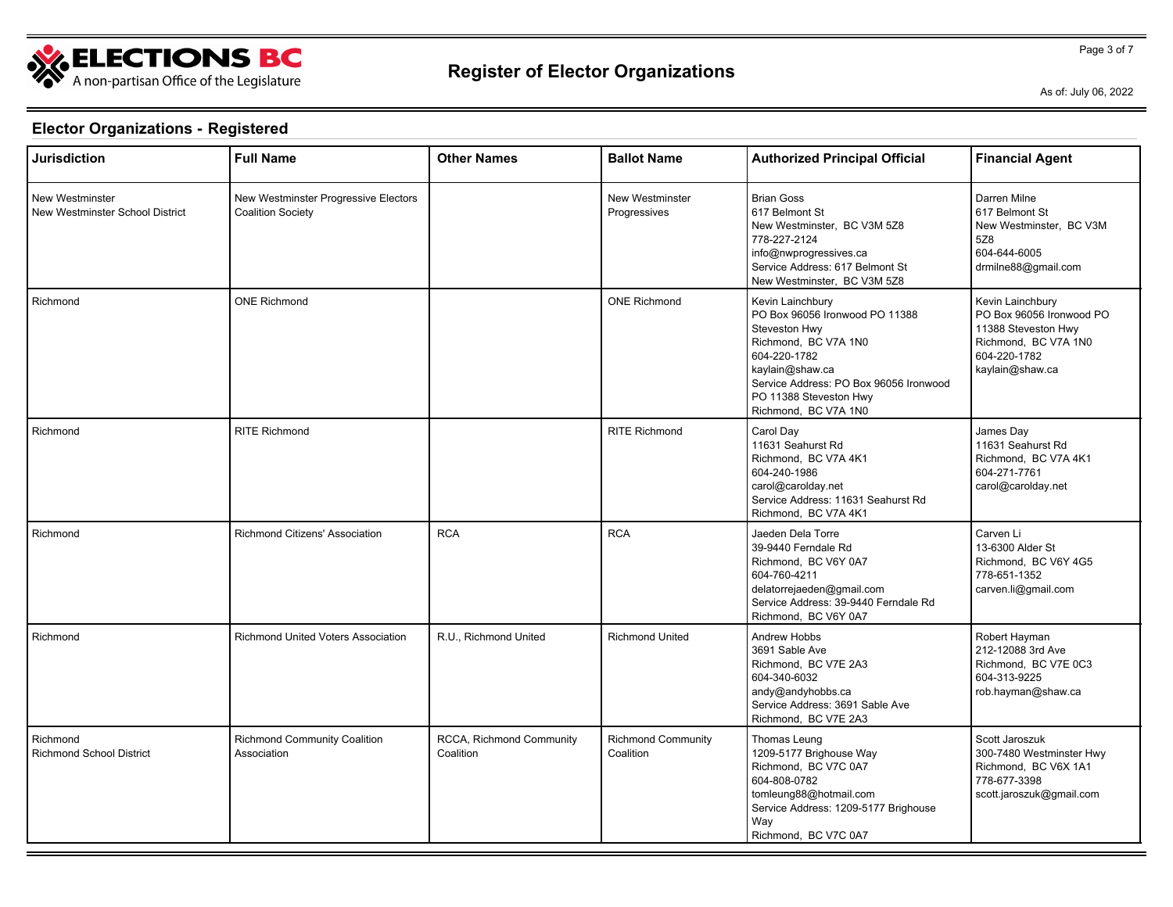

Page 3 of 7

As of: July 06, 2022

| <b>Jurisdiction</b>                                       | <b>Full Name</b>                                                 | <b>Other Names</b>                    | <b>Ballot Name</b>                     | <b>Authorized Principal Official</b>                                                                                                                                                                                       | <b>Financial Agent</b>                                                                                                         |
|-----------------------------------------------------------|------------------------------------------------------------------|---------------------------------------|----------------------------------------|----------------------------------------------------------------------------------------------------------------------------------------------------------------------------------------------------------------------------|--------------------------------------------------------------------------------------------------------------------------------|
| <b>New Westminster</b><br>New Westminster School District | New Westminster Progressive Electors<br><b>Coalition Society</b> |                                       | <b>New Westminster</b><br>Progressives | <b>Brian Goss</b><br>617 Belmont St<br>New Westminster, BC V3M 5Z8<br>778-227-2124<br>info@nwprogressives.ca<br>Service Address: 617 Belmont St<br>New Westminster, BC V3M 5Z8                                             | Darren Milne<br>617 Belmont St<br>New Westminster. BC V3M<br>5Z8<br>604-644-6005<br>drmilne88@gmail.com                        |
| Richmond                                                  | <b>ONE Richmond</b>                                              |                                       | <b>ONE Richmond</b>                    | Kevin Lainchbury<br>PO Box 96056 Ironwood PO 11388<br>Steveston Hwy<br>Richmond, BC V7A 1N0<br>604-220-1782<br>kaylain@shaw.ca<br>Service Address: PO Box 96056 Ironwood<br>PO 11388 Steveston Hwy<br>Richmond, BC V7A 1N0 | Kevin Lainchbury<br>PO Box 96056 Ironwood PO<br>11388 Steveston Hwy<br>Richmond, BC V7A 1N0<br>604-220-1782<br>kaylain@shaw.ca |
| Richmond                                                  | <b>RITE Richmond</b>                                             |                                       | <b>RITE Richmond</b>                   | Carol Day<br>11631 Seahurst Rd<br>Richmond, BC V7A 4K1<br>604-240-1986<br>carol@carolday.net<br>Service Address: 11631 Seahurst Rd<br>Richmond, BC V7A 4K1                                                                 | James Day<br>11631 Seahurst Rd<br>Richmond, BC V7A 4K1<br>604-271-7761<br>carol@carolday.net                                   |
| Richmond                                                  | Richmond Citizens' Association                                   | <b>RCA</b>                            | <b>RCA</b>                             | Jaeden Dela Torre<br>39-9440 Ferndale Rd<br>Richmond, BC V6Y 0A7<br>604-760-4211<br>delatorrejaeden@gmail.com<br>Service Address: 39-9440 Ferndale Rd<br>Richmond. BC V6Y 0A7                                              | Carven Li<br>13-6300 Alder St<br>Richmond, BC V6Y 4G5<br>778-651-1352<br>carven.li@gmail.com                                   |
| Richmond                                                  | Richmond United Voters Association                               | R.U., Richmond United                 | <b>Richmond United</b>                 | Andrew Hobbs<br>3691 Sable Ave<br>Richmond, BC V7E 2A3<br>604-340-6032<br>andy@andyhobbs.ca<br>Service Address: 3691 Sable Ave<br>Richmond, BC V7E 2A3                                                                     | Robert Hayman<br>212-12088 3rd Ave<br>Richmond, BC V7E 0C3<br>604-313-9225<br>rob.hayman@shaw.ca                               |
| Richmond<br><b>Richmond School District</b>               | <b>Richmond Community Coalition</b><br>Association               | RCCA, Richmond Community<br>Coalition | <b>Richmond Community</b><br>Coalition | Thomas Leung<br>1209-5177 Brighouse Way<br>Richmond, BC V7C 0A7<br>604-808-0782<br>tomleung88@hotmail.com<br>Service Address: 1209-5177 Brighouse<br>Way<br>Richmond, BC V7C 0A7                                           | Scott Jaroszuk<br>300-7480 Westminster Hwy<br>Richmond, BC V6X 1A1<br>778-677-3398<br>scott.jaroszuk@gmail.com                 |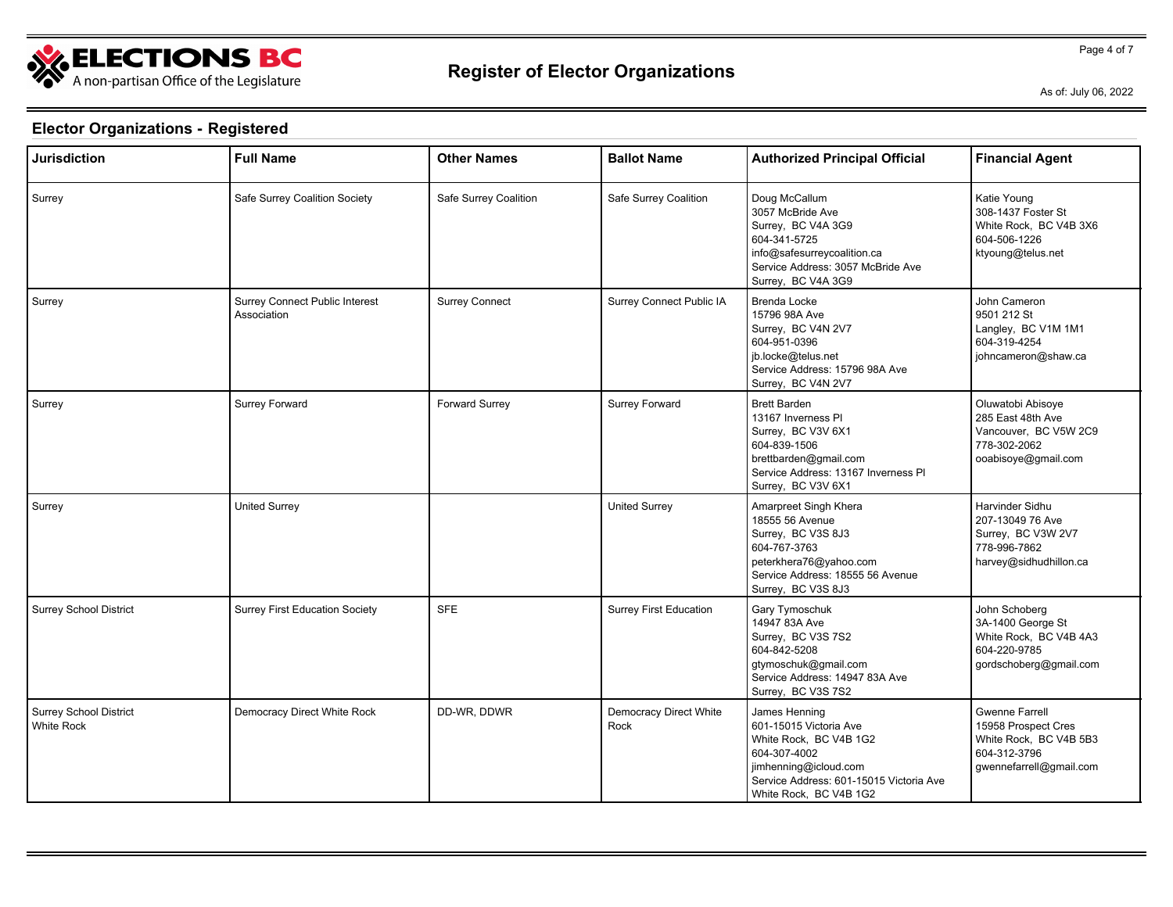

Page 4 of 7

As of: July 06, 2022

| <b>Jurisdiction</b>                         | <b>Full Name</b>                              | <b>Other Names</b>    | <b>Ballot Name</b>                    | <b>Authorized Principal Official</b>                                                                                                                                            | <b>Financial Agent</b>                                                                                            |
|---------------------------------------------|-----------------------------------------------|-----------------------|---------------------------------------|---------------------------------------------------------------------------------------------------------------------------------------------------------------------------------|-------------------------------------------------------------------------------------------------------------------|
| Surrey                                      | Safe Surrey Coalition Society                 | Safe Surrey Coalition | Safe Surrey Coalition                 | Doug McCallum<br>3057 McBride Ave<br>Surrey, BC V4A 3G9<br>604-341-5725<br>info@safesurreycoalition.ca<br>Service Address: 3057 McBride Ave<br>Surrey, BC V4A 3G9               | Katie Young<br>308-1437 Foster St<br>White Rock, BC V4B 3X6<br>604-506-1226<br>ktyoung@telus.net                  |
| Surrey                                      | Surrey Connect Public Interest<br>Association | <b>Surrey Connect</b> | Surrey Connect Public IA              | Brenda Locke<br>15796 98A Ave<br>Surrey, BC V4N 2V7<br>604-951-0396<br>jb.locke@telus.net<br>Service Address: 15796 98A Ave<br>Surrey, BC V4N 2V7                               | John Cameron<br>9501 212 St<br>Langley, BC V1M 1M1<br>604-319-4254<br>johncameron@shaw.ca                         |
| Surrey                                      | Surrey Forward                                | Forward Surrey        | Surrey Forward                        | <b>Brett Barden</b><br>13167 Inverness PI<br>Surrey, BC V3V 6X1<br>604-839-1506<br>brettbarden@gmail.com<br>Service Address: 13167 Inverness PI<br>Surrey, BC V3V 6X1           | Oluwatobi Abisoye<br>285 East 48th Ave<br>Vancouver, BC V5W 2C9<br>778-302-2062<br>ooabisoye@gmail.com            |
| Surrey                                      | <b>United Surrey</b>                          |                       | <b>United Surrey</b>                  | Amarpreet Singh Khera<br>18555 56 Avenue<br>Surrey, BC V3S 8J3<br>604-767-3763<br>peterkhera76@yahoo.com<br>Service Address: 18555 56 Avenue<br>Surrey, BC V3S 8J3              | Harvinder Sidhu<br>207-13049 76 Ave<br>Surrey, BC V3W 2V7<br>778-996-7862<br>harvey@sidhudhillon.ca               |
| <b>Surrey School District</b>               | <b>Surrey First Education Society</b>         | <b>SFE</b>            | <b>Surrey First Education</b>         | Gary Tymoschuk<br>14947 83A Ave<br>Surrey, BC V3S 7S2<br>604-842-5208<br>gtymoschuk@gmail.com<br>Service Address: 14947 83A Ave<br>Surrey, BC V3S 7S2                           | John Schoberg<br>3A-1400 George St<br>White Rock, BC V4B 4A3<br>604-220-9785<br>gordschoberg@gmail.com            |
| Surrey School District<br><b>White Rock</b> | Democracy Direct White Rock                   | DD-WR, DDWR           | <b>Democracy Direct White</b><br>Rock | James Henning<br>601-15015 Victoria Ave<br>White Rock, BC V4B 1G2<br>604-307-4002<br>jimhenning@icloud.com<br>Service Address: 601-15015 Victoria Ave<br>White Rock, BC V4B 1G2 | <b>Gwenne Farrell</b><br>15958 Prospect Cres<br>White Rock, BC V4B 5B3<br>604-312-3796<br>gwennefarrell@gmail.com |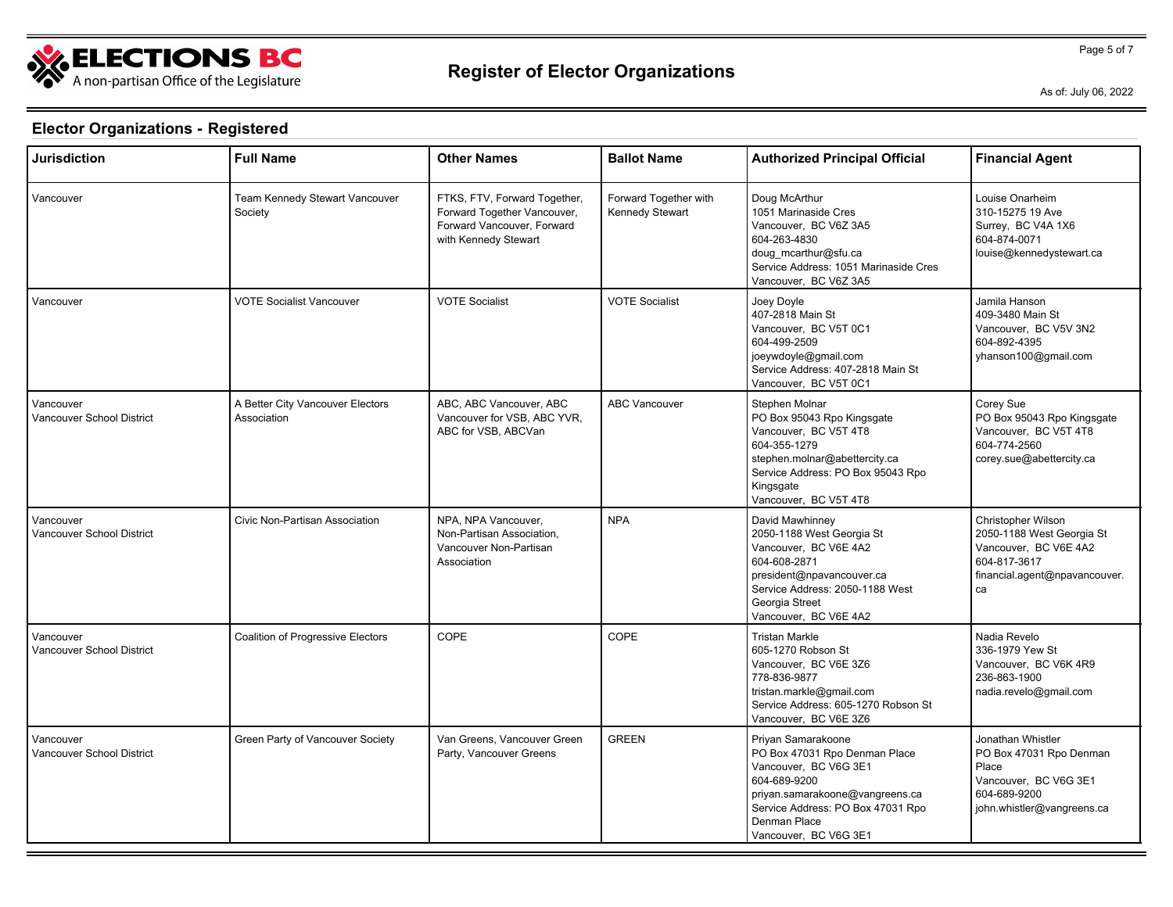

Page 5 of 7

As of: July 06, 2022

| <b>Jurisdiction</b>                    | <b>Full Name</b>                                | <b>Other Names</b>                                                                                                | <b>Ballot Name</b>                       | <b>Authorized Principal Official</b>                                                                                                                                                                          | <b>Financial Agent</b>                                                                                                          |
|----------------------------------------|-------------------------------------------------|-------------------------------------------------------------------------------------------------------------------|------------------------------------------|---------------------------------------------------------------------------------------------------------------------------------------------------------------------------------------------------------------|---------------------------------------------------------------------------------------------------------------------------------|
| Vancouver                              | Team Kennedy Stewart Vancouver<br>Society       | FTKS, FTV, Forward Together,<br>Forward Together Vancouver,<br>Forward Vancouver, Forward<br>with Kennedy Stewart | Forward Together with<br>Kennedy Stewart | Doug McArthur<br>1051 Marinaside Cres<br>Vancouver, BC V6Z 3A5<br>604-263-4830<br>doug_mcarthur@sfu.ca<br>Service Address: 1051 Marinaside Cres<br>Vancouver, BC V6Z 3A5                                      | Louise Onarheim<br>310-15275 19 Ave<br>Surrey, BC V4A 1X6<br>604-874-0071<br>louise@kennedystewart.ca                           |
| Vancouver                              | <b>VOTE Socialist Vancouver</b>                 | <b>VOTE Socialist</b>                                                                                             | <b>VOTE Socialist</b>                    | Joey Doyle<br>407-2818 Main St<br>Vancouver, BC V5T 0C1<br>604-499-2509<br>joeywdoyle@gmail.com<br>Service Address: 407-2818 Main St<br>Vancouver, BC V5T 0C1                                                 | Jamila Hanson<br>409-3480 Main St<br>Vancouver, BC V5V 3N2<br>604-892-4395<br>yhanson100@gmail.com                              |
| Vancouver<br>Vancouver School District | A Better City Vancouver Electors<br>Association | ABC, ABC Vancouver, ABC<br>Vancouver for VSB, ABC YVR,<br>ABC for VSB, ABCVan                                     | <b>ABC Vancouver</b>                     | Stephen Molnar<br>PO Box 95043 Rpo Kingsgate<br>Vancouver, BC V5T 4T8<br>604-355-1279<br>stephen.molnar@abettercity.ca<br>Service Address: PO Box 95043 Rpo<br>Kingsgate<br>Vancouver, BC V5T 4T8             | Corey Sue<br>PO Box 95043 Rpo Kingsgate<br>Vancouver, BC V5T 4T8<br>604-774-2560<br>corey.sue@abettercity.ca                    |
| Vancouver<br>Vancouver School District | Civic Non-Partisan Association                  | NPA, NPA Vancouver,<br>Non-Partisan Association,<br>Vancouver Non-Partisan<br>Association                         | <b>NPA</b>                               | David Mawhinney<br>2050-1188 West Georgia St<br>Vancouver, BC V6E 4A2<br>604-608-2871<br>president@npavancouver.ca<br>Service Address: 2050-1188 West<br>Georgia Street<br>Vancouver, BC V6E 4A2              | Christopher Wilson<br>2050-1188 West Georgia St<br>Vancouver, BC V6E 4A2<br>604-817-3617<br>financial.agent@npavancouver.<br>ca |
| Vancouver<br>Vancouver School District | Coalition of Progressive Electors               | COPE                                                                                                              | COPE                                     | <b>Tristan Markle</b><br>605-1270 Robson St<br>Vancouver, BC V6E 3Z6<br>778-836-9877<br>tristan.markle@gmail.com<br>Service Address: 605-1270 Robson St<br>Vancouver, BC V6E 3Z6                              | Nadia Revelo<br>336-1979 Yew St<br>Vancouver, BC V6K 4R9<br>236-863-1900<br>nadia.revelo@gmail.com                              |
| Vancouver<br>Vancouver School District | Green Party of Vancouver Society                | Van Greens, Vancouver Green<br>Party, Vancouver Greens                                                            | <b>GREEN</b>                             | Priyan Samarakoone<br>PO Box 47031 Rpo Denman Place<br>Vancouver, BC V6G 3E1<br>604-689-9200<br>priyan.samarakoone@vangreens.ca<br>Service Address: PO Box 47031 Rpo<br>Denman Place<br>Vancouver, BC V6G 3E1 | Jonathan Whistler<br>PO Box 47031 Rpo Denman<br>Place<br>Vancouver, BC V6G 3E1<br>604-689-9200<br>john.whistler@vangreens.ca    |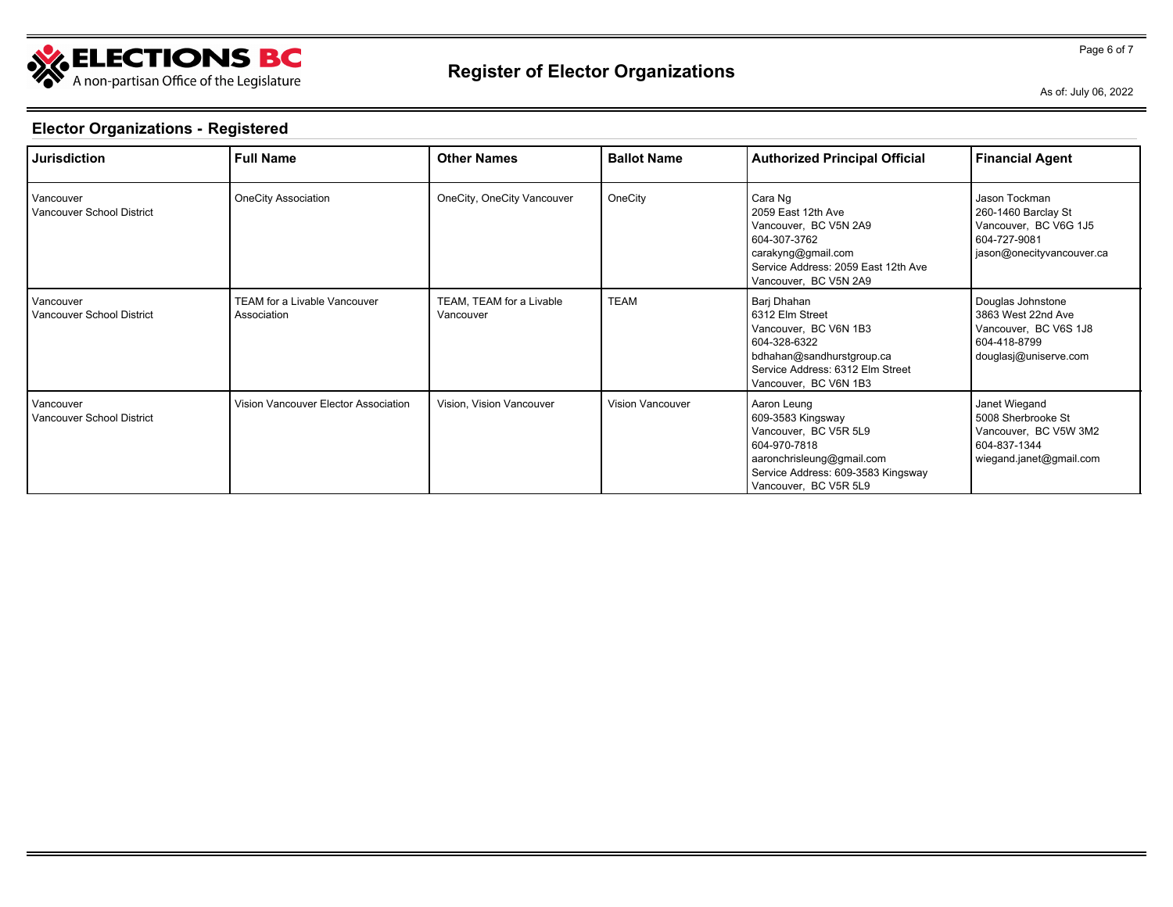

Page 6 of 7

As of: July 06, 2022

| <b>Jurisdiction</b>                    | <b>Full Name</b>                                   | <b>Other Names</b>                    | <b>Ballot Name</b> | <b>Authorized Principal Official</b>                                                                                                                                  | <b>Financial Agent</b>                                                                                     |
|----------------------------------------|----------------------------------------------------|---------------------------------------|--------------------|-----------------------------------------------------------------------------------------------------------------------------------------------------------------------|------------------------------------------------------------------------------------------------------------|
| Vancouver<br>Vancouver School District | <b>OneCity Association</b>                         | OneCity, OneCity Vancouver            | OneCity            | Cara Ng<br>2059 East 12th Ave<br>Vancouver, BC V5N 2A9<br>604-307-3762<br>carakyng@gmail.com<br>Service Address: 2059 East 12th Ave<br>Vancouver, BC V5N 2A9          | Jason Tockman<br>260-1460 Barclay St<br>Vancouver, BC V6G 1J5<br>604-727-9081<br>jason@onecityvancouver.ca |
| Vancouver<br>Vancouver School District | <b>TEAM for a Livable Vancouver</b><br>Association | TEAM, TEAM for a Livable<br>Vancouver | <b>TEAM</b>        | Barj Dhahan<br>6312 Elm Street<br>Vancouver, BC V6N 1B3<br>604-328-6322<br>bdhahan@sandhurstgroup.ca<br>Service Address: 6312 Elm Street<br>Vancouver, BC V6N 1B3     | Douglas Johnstone<br>3863 West 22nd Ave<br>Vancouver, BC V6S 1J8<br>604-418-8799<br>douglasj@uniserve.com  |
| Vancouver<br>Vancouver School District | Vision Vancouver Elector Association               | Vision, Vision Vancouver              | Vision Vancouver   | Aaron Leung<br>609-3583 Kingsway<br>Vancouver, BC V5R 5L9<br>604-970-7818<br>aaronchrisleung@gmail.com<br>Service Address: 609-3583 Kingsway<br>Vancouver, BC V5R 5L9 | Janet Wiegand<br>5008 Sherbrooke St<br>Vancouver, BC V5W 3M2<br>604-837-1344<br>wiegand.janet@gmail.com    |